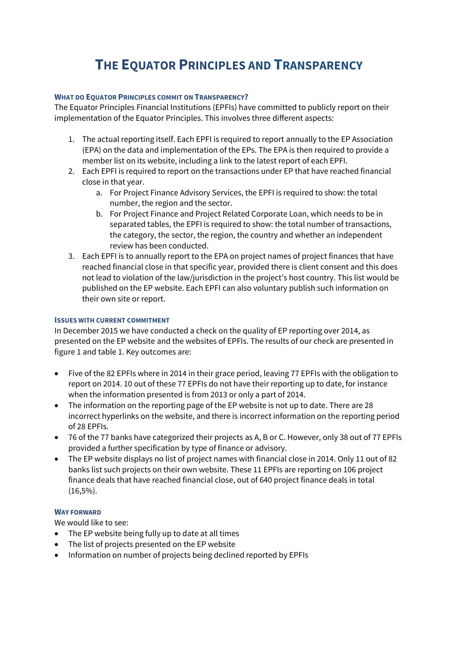## **THE EQUATOR PRINCIPLES AND TRANSPARENCY**

## **WHAT DO EQUATOR PRINCIPLES COMMIT ON TRANSPARENCY?**

The Equator Principles Financial Institutions (EPFIs) have committed to publicly report on their implementation of the Equator Principles. This involves three different aspects:

- 1. The actual reporting itself. Each EPFI is required to report annually to the EP Association (EPA) on the data and implementation of the EPs. The EPA is then required to provide a member list on its website, including a link to the latest report of each EPFI.
- 2. Each EPFI is required to report on the transactions under EP that have reached financial close in that year.
	- a. For Project Finance Advisory Services, the EPFI is required to show: the total number, the region and the sector.
	- b. For Project Finance and Project Related Corporate Loan, which needs to be in separated tables, the EPFI is required to show: the total number of transactions, the category, the sector, the region, the country and whether an independent review has been conducted.
- 3. Each EPFI is to annually report to the EPA on project names of project finances that have reached financial close in that specific year, provided there is client consent and this does not lead to violation of the law/jurisdiction in the project's host country. This list would be published on the EP website. Each EPFI can also voluntary publish such information on their own site or report.

## **ISSUES WITH CURRENT COMMITMENT**

In December 2015 we have conducted a check on the quality of EP reporting over 2014, as presented on the EP website and the websites of EPFIs. The results of our check are presented in figure 1 and table 1. Key outcomes are:

- Five of the 82 EPFIs where in 2014 in their grace period, leaving 77 EPFIs with the obligation to report on 2014. 10 out of these 77 EPFIs do not have their reporting up to date, for instance when the information presented is from 2013 or only a part of 2014.
- The information on the reporting page of the EP website is not up to date. There are 28 incorrect hyperlinks on the website, and there is incorrect information on the reporting period of 28 EPFIs.
- 76 of the 77 banks have categorized their projects as A, B or C. However, only 38 out of 77 EPFIs provided a further specification by type of finance or advisory.
- The EP website displays no list of project names with financial close in 2014. Only 11 out of 82 banks list such projects on their own website. These 11 EPFIs are reporting on 106 project finance deals that have reached financial close, out of 640 project finance deals in total (16,5%).

## **WAY FORWARD**

We would like to see:

- The EP website being fully up to date at all times
- The list of projects presented on the EP website
- Information on number of projects being declined reported by EPFIs